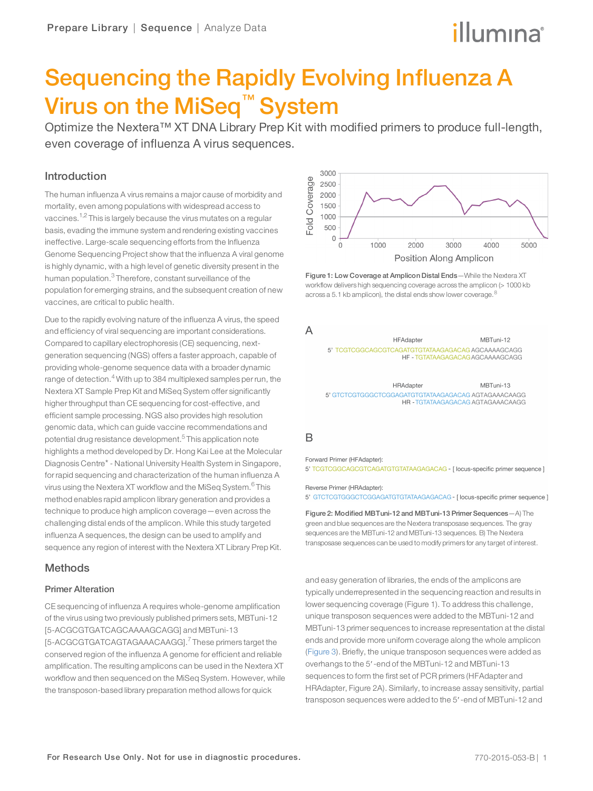illumina®

# Sequencing the Rapidly Evolving Influenza A Virus on the MiSeq<sup>™</sup> System

Optimize the Nextera™ XT DNA Library Prep Kit with modified primers to produce full-length, even coverage of influenza A virus sequences.

# Introduction

The human influenza A virus remains a major cause of morbidity and mortality, even among populations with widespread access to vaccines.<sup>1,2</sup> This is largely because the virus mutates on a regular basis, evading the immune system and rendering existing vaccines ineffective. Large-scale sequencing efforts from the Influenza Genome Sequencing Project show that the influenza A viral genome is highly dynamic, with a high level of genetic diversity present in the human population.<sup>[3](#page-2-0)</sup> Therefore, constant surveillance of the population for emerging strains, and the subsequent creation of new vaccines, are critical to public health.

Due to the rapidly evolving nature of the influenza A virus, the speed and efficiency of viral sequencing are important considerations. Compared to capillary electrophoresis (CE) sequencing, nextgeneration sequencing (NGS) offers a faster approach, capable of providing whole-genome sequence data with a broader dynamic range of detection.<sup>[4](#page-2-1)</sup> With up to 384 multiplexed samples per run, the Nextera XT Sample Prep Kit and MiSeq System offer significantly higher throughput than CE sequencing for cost-effective, and efficient sample processing. NGS also provides high resolution genomic data, which can guide vaccine recommendations and potential drug resistance development.<sup>[5](#page-2-2)</sup> This application note highlights a method developed by Dr. Hong Kai Lee at the Molecular Diagnosis Centre\* - National University Health System in Singapore, for rapid sequencing and characterization of the human influenza A virus using the Nextera XT workflow and the MiSeg System.<sup>[6](#page-2-3)</sup> This method enables rapid amplicon library generation and provides a technique to produce high amplicon coverage—even across the challenging distal ends of the amplicon. While this study targeted influenza A sequences, the design can be used to amplify and sequence any region of interest with the Nextera XT Library Prep Kit.

## **Methods**

## Primer Alteration

CE sequencing of influenza A requires whole-genome amplification of the virus using two previously published primers sets, MBTuni-12 [5-ACGCGTGATCAGCAAAAGCAGG] and MBTuni-13 [5-ACGCGTGATCAGTAGAAACAAGG].<sup>[7](#page-2-4)</sup> These primers target the conserved region of the influenza A genome for efficient and reliable amplification. The resulting amplicons can be used in the Nextera XT workflow and then sequenced on the MiSeq System. However, while the transposon-based library preparation method allows for quick



Figure 1: Low Coverage at Amplicon Distal Ends—While the Nextera XT workflow delivers high sequencing coverage across the amplicon (> 1000 kb across a 5.1 kb amplicon), the distal ends show lower coverage.<sup>[8](#page-2-5)</sup>

 $\overline{A}$ 

**HFAdapter** MBTuni-12 5' TCGTCGGCAGCGTCAGATGTGTATAAGAGACAG AGCAAAAGCAGG HE-TGTATAAGAGACAGAGCAAAAGCAGG

**HRAdapter** MBTuni-13 5' GTCTCGTGGGCTCGGAGATGTGTATAAGAGACAG AGTAGAAACAAGG HR-TGTATAAGAGACAG AGTAGAAACAAGG

# B

Forward Primer (HFAdapter): 5' TCGTCGGCAGCGTCAGATGTGTATAAGAGACAG - [ locus-specific primer sequence ]

Reverse Primer (HRAdapter):

5' GTCTCGTGGGCTCGGAGATGTGTATAAGAGACAG - [ locus-specific primer sequence ]

Figure 2: Modified MBTuni-12 and MBTuni-13 Primer Sequences—A) The green and blue sequences are the Nextera transposase sequences. The gray sequences are the MBTuni-12 and MBTuni-13 sequences. B) The Nextera transposase sequences can be used to modify primers for any target of interest.

and easy generation of libraries, the ends of the amplicons are typically underrepresented in the sequencing reaction and results in lower sequencing coverage (Figure 1). To address this challenge, unique transposon sequences were added to the MBTuni-12 and MBTuni-13 primer sequences to increase representation at the distal ends and provide more uniform coverage along the whole amplicon ([Figure 3\)](#page-1-0). Briefly, the unique transposon sequences were added as overhangs to the 5ʹ-end of the MBTuni-12 and MBTuni-13 sequences to form the first set of PCR primers (HFAdapter and HRAdapter, Figure 2A). Similarly, to increase assay sensitivity, partial transposon sequences were added to the 5ʹ-end of MBTuni-12 and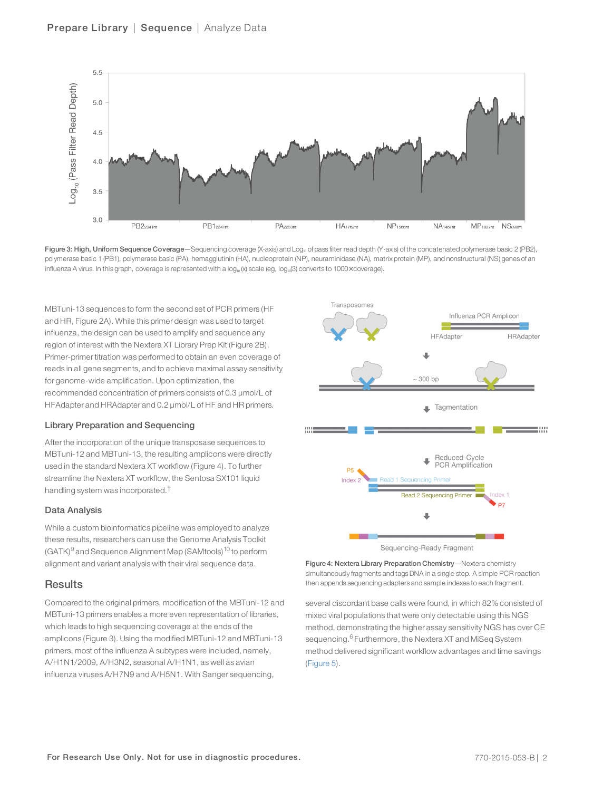

<span id="page-1-0"></span>

MBTuni-13 sequences to form the second set of PCR primers (HF and HR, Figure 2A). While this primer design was used to target influenza, the design can be used to amplify and sequence any region of interest with the Nextera XT Library Prep Kit (Figure 2B). Primer-primer titration was performed to obtain an even coverage of reads in all gene segments, and to achieve maximal assay sensitivity for genome-wide amplification. Upon optimization, the recommended concentration of primers consists of 0.3 μmol/L of HFAdapter and HRAdapter and 0.2 μmol/L of HF and HR primers.

## Library Preparation and Sequencing

After the incorporation of the unique transposase sequences to MBTuni-12 and MBTuni-13, the resulting amplicons were directly used in the standard Nextera XT workflow (Figure 4). To further streamline the Nextera XT workflow, the Sentosa SX101 liquid handling system was incorporated.†

#### Data Analysis

While a custom bioinformatics pipeline was employed to analyze these results, researchers can use the Genome Analysis Toolkit  $(GATK)^9$  $(GATK)^9$  and Sequence Alignment Map (SAMtools)<sup>[10](#page-2-7)</sup> to perform alignment and variant analysis with their viral sequence data.

## **Results**

Compared to the original primers, modification of the MBTuni-12 and MBTuni-13 primers enables a more even representation of libraries, which leads to high sequencing coverage at the ends of the amplicons (Figure 3). Using the modified MBTuni-12 and MBTuni-13 primers, most of the influenza A subtypes were included, namely, A/H1N1/2009, A/H3N2, seasonal A/H1N1, as well as avian influenza viruses A/H7N9 and A/H5N1. With Sanger sequencing,



Figure 4: Nextera Library Preparation Chemistry—Nextera chemistry simultaneously fragments and tags DNA in a single step. A simple PCR reaction then appends sequencing adapters and sample indexes to each fragment.

several discordant base calls were found, in which 82% consisted of mixed viral populations that were only detectable using this NGS method, demonstrating the higher assay sensitivity NGS has over CE sequencing.<sup>[6](#page-2-3)</sup> Furthermore, the Nextera XT and MiSeg System method delivered significant workflow advantages and time savings ([Figure 5\)](#page-2-8).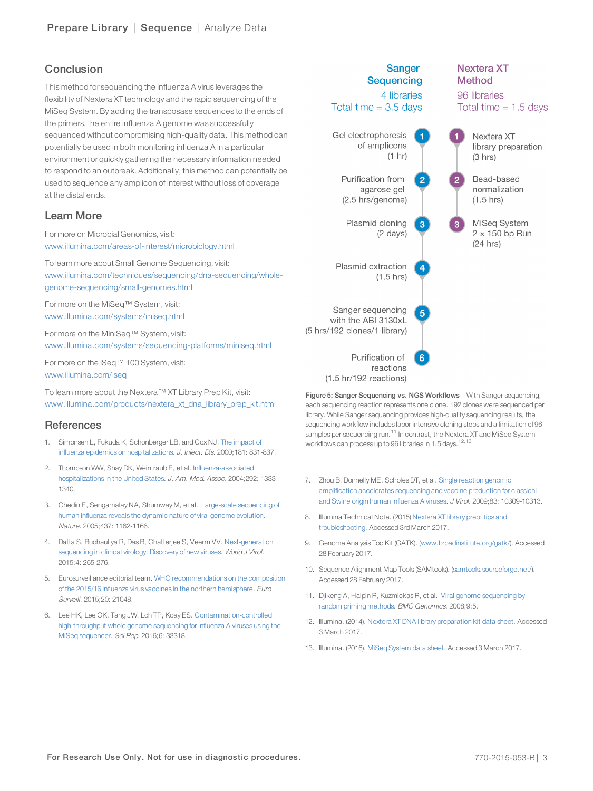# Conclusion

This method for sequencing the influenza A virus leverages the flexibility of Nextera XT technology and the rapid sequencing of the MiSeq System. By adding the transposase sequences to the ends of the primers, the entire influenza A genome was successfully sequenced without compromising high-quality data. This method can potentially be used in both monitoring influenza A in a particular environment or quickly gathering the necessary information needed to respond to an outbreak. Additionally, this method can potentially be used to sequence any amplicon of interest without loss of coverage at the distal ends.

# Learn More

For more on Microbial Genomics, visit: [www.illumina.com/areas-of-interest/microbiology.html](https://www.illumina.com/areas-of-interest/microbiology.html)

To learn more about Small Genome Sequencing, visit: [www.illumina.com/techniques/sequencing/dna-sequencing/whole](https://www.illumina.com/techniques/sequencing/dna-sequencing/whole-genome-sequencing/small-genomes.html)[genome-sequencing/small-genomes.html](https://www.illumina.com/techniques/sequencing/dna-sequencing/whole-genome-sequencing/small-genomes.html)

For more on the MiSeq™ System, visit: [www.illumina.com/systems/miseq.html](https://www.illumina.com/systems/sequencing-platforms/miseq.html)

For more on the MiniSeq™ System, visit: [www.illumina.com/systems/sequencing-platforms/miniseq.html](https://www.illumina.com/systems/sequencing-platforms/miniseq.html)

For more on the iSeq™ 100 System, visit: [www.illumina.com/iseq](https://www.illumina.com/iseq)

To learn more about the Nextera™ XT Library Prep Kit, visit: [www.illumina.com/products/nextera\\_xt\\_dna\\_library\\_prep\\_kit.html](https://www.illumina.com/products/by-type/sequencing-kits/library-prep-kits/nextera-xt-dna.html)

## **References**

- 1. Simonsen L, Fukuda K, Schonberger LB, and Cox NJ. The [impact](http://www.ncbi.nlm.nih.gov/pubmed/10720501) of influenza epidemics on [hospitalizations](http://www.ncbi.nlm.nih.gov/pubmed/10720501). J. Infect. Dis. 2000;181: 831-837.
- <span id="page-2-0"></span>2. Thompson WW, Shay DK, Weintraub E, et al. [Influenza-associated](http://www.ncbi.nlm.nih.gov/pubmed/15367555) [hospitalizations](http://www.ncbi.nlm.nih.gov/pubmed/15367555) in the United States. J. Am. Med. Assoc. 2004;292: 1333- 1340.
- <span id="page-2-1"></span>3. Ghedin E, Sengamalay NA, Shumway M, et al. [Large-scale](http://www.ncbi.nlm.nih.gov/pubmed/16208317) sequencing of human influenza reveals the dynamic nature of viral genome [evolution](http://www.ncbi.nlm.nih.gov/pubmed/16208317). Nature. 2005;437: 1162-1166.
- <span id="page-2-2"></span>4. Datta S, Budhauliya R, Das B, Chatterjee S, Veerm VV. [Next-generation](https://www.ncbi.nlm.nih.gov/pmc/articles/PMC4534817/) [sequencing](https://www.ncbi.nlm.nih.gov/pmc/articles/PMC4534817/) in clinical virology: Discovery of new viruses. World J Virol. 2015;4: 265-276.
- <span id="page-2-3"></span>5. Eurosurveillance editorial team. WHO [recommendations](https://www.ncbi.nlm.nih.gov/pubmed/25764193) on the composition of the 2015/16 influenza virus vaccines in the northern [hemisphere.](https://www.ncbi.nlm.nih.gov/pubmed/25764193) Euro Surveill. 2015;20: 21048.
- 6. Lee HK, Lee CK, Tang JW, Loh TP, Koay ES. [Contamination-controlled](https://www.ncbi.nlm.nih.gov/pubmed/27624998) [high-throughput](https://www.ncbi.nlm.nih.gov/pubmed/27624998) whole genome sequencing for influenza A viruses using the MiSeq [sequencer](https://www.ncbi.nlm.nih.gov/pubmed/27624998). Sci Rep. 2016;6: 33318.



<span id="page-2-8"></span>Figure 5: Sanger Sequencing vs. NGS Workflows - With Sanger sequencing, each sequencing reaction represents one clone. 192 clones were sequenced per library. While Sanger sequencing provides high-quality sequencing results, the sequencing workflow includes labor intensive cloning steps and a limitation of 96 samples per sequencing run.<sup>[11](#page-2-9)</sup> In contrast, the Nextera XT and MiSeq System workflows can process up to 96 libraries in 1.5 days.<sup>12,13</sup>

- <span id="page-2-5"></span><span id="page-2-4"></span>7. Zhou B, Donnelly ME, Scholes DT, et al. Single reaction [genomic](http://www.ncbi.nlm.nih.gov/pubmed/19605485) [amplification](http://www.ncbi.nlm.nih.gov/pubmed/19605485) accelerates sequencing and vaccine production for classical and Swine origin human [influenza](http://www.ncbi.nlm.nih.gov/pubmed/19605485) A viruses. J Virol. 2009;83: 10309-10313.
- <span id="page-2-6"></span>8. Illumina Technical Note. (2015) [Nextera](https://support.illumina.com/content/dam/illumina-support/documents/documentation/chemistry_documentation/samplepreps_nextera/nextera-xt/nextera-xt-troubleshooting-guide.pdf) XT library prep: tips and [troubleshooting.](https://support.illumina.com/content/dam/illumina-support/documents/documentation/chemistry_documentation/samplepreps_nextera/nextera-xt/nextera-xt-troubleshooting-guide.pdf) Accessed 3rd March 2017.
- <span id="page-2-7"></span>9. Genome Analysis ToolKit (GATK). (www.broadinstitute.org/gatk/). Accessed 28 February 2017.
- <span id="page-2-9"></span>10. Sequence Alignment Map Tools (SAMtools). ([samtools.sourceforge.net/](http://samtools.sourceforge.net/)). Accessed 28 February 2017.
- 11. Djikeng A, Halpin R, Kuzmickas R, et al. Viral genome [sequencing](https://www.ncbi.nlm.nih.gov/pubmed/18179705) by random priming [methods](https://www.ncbi.nlm.nih.gov/pubmed/18179705). BMC Genomics. 2008;9:5.
- 12. Illumina. (2014). Nextera XT DNA library [preparation](https://www.illumina.com/documents/products/datasheets/datasheet_nextera_xt_dna_sample_prep.pdf) kit data sheet. Accessed 3 March 2017.
- 13. Illumina. (2016). MiSeq [System](https://www.illumina.com/documents/products/datasheets/datasheet_miseq.pdf) data sheet. Accessed 3 March 2017.